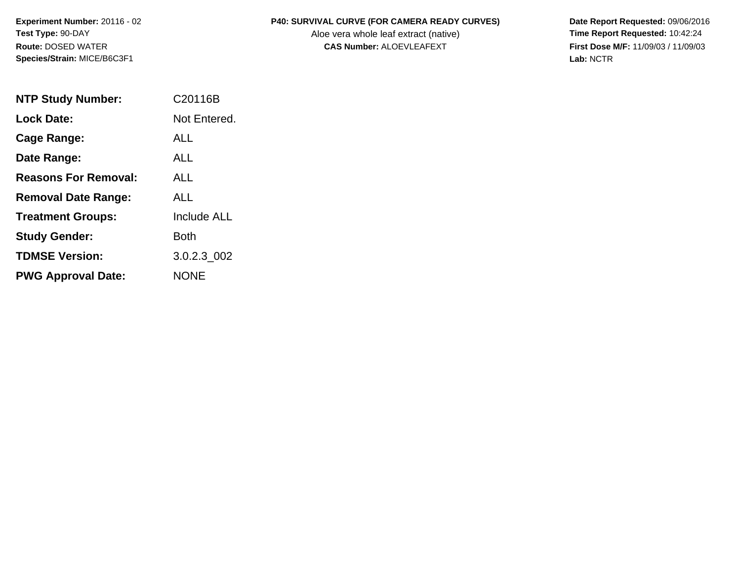**Experiment Number:** 20116 - 02 **Test Type:** 90-DAY **Route:** DOSED WATER **Species/Strain:** MICE/B6C3F1

## **P40: SURVIVAL CURVE (FOR CAMERA READY CURVES) Date Report Requested:** 09/06/2016

Aloe vera whole leaf extract (native) **Time Report Requested:** 10:42:24 **CAS Number:** ALOEVLEAFEXT **First Dose M/F:** 11/09/03 / 11/09/03

**Lab:** NCTR

| <b>NTP Study Number:</b>    | C20116B            |
|-----------------------------|--------------------|
| <b>Lock Date:</b>           | Not Entered.       |
| <b>Cage Range:</b>          | AI I               |
| Date Range:                 | ALL                |
| <b>Reasons For Removal:</b> | AI I               |
| <b>Removal Date Range:</b>  | ALL                |
| <b>Treatment Groups:</b>    | <b>Include ALL</b> |
| <b>Study Gender:</b>        | Both               |
| <b>TDMSE Version:</b>       | 3.0.2.3_002        |
| <b>PWG Approval Date:</b>   | NONE               |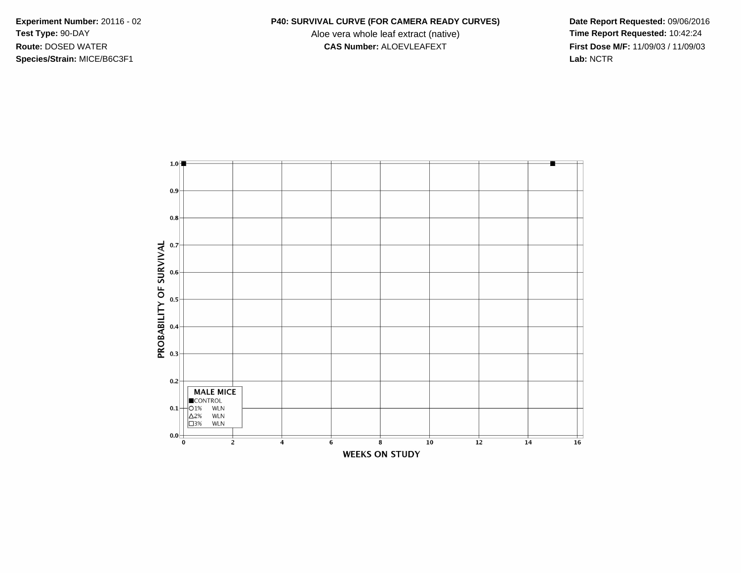**Species/Strain:** MICE/B6C3F1 **Lab:** NCTR

## **Experiment Number:** 20116 - 02 **P40: SURVIVAL CURVE (FOR CAMERA READY CURVES) Date Report Requested:** 09/06/2016

Test Type: 90-DAY **Aloe vera whole leaf extract (native) Time Report Requested:** 10:42:24 **Route:** DOSED WATER **CAS Number:** ALOEVLEAFEXT **First Dose M/F:** 11/09/03 / 11/09/03